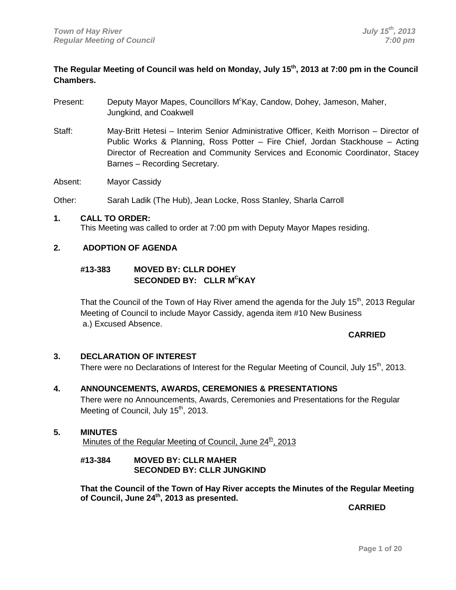### **The Regular Meeting of Council was held on Monday, July 15th, 2013 at 7:00 pm in the Council Chambers.**

- Present: Deputy Mayor Mapes, Councillors M<sup>c</sup>Kay, Candow, Dohey, Jameson, Maher, Jungkind, and Coakwell
- Staff: May-Britt Hetesi Interim Senior Administrative Officer, Keith Morrison Director of Public Works & Planning, Ross Potter – Fire Chief, Jordan Stackhouse – Acting Director of Recreation and Community Services and Economic Coordinator, Stacey Barnes – Recording Secretary.

Absent: Mayor Cassidy

Other: Sarah Ladik (The Hub), Jean Locke, Ross Stanley, Sharla Carroll

#### **1. CALL TO ORDER:**

This Meeting was called to order at 7:00 pm with Deputy Mayor Mapes residing.

#### **2. ADOPTION OF AGENDA**

#### **#13-383 MOVED BY: CLLR DOHEY SECONDED BY: CLLR MCKAY**

That the Council of the Town of Hay River amend the agenda for the July 15<sup>th</sup>, 2013 Regular Meeting of Council to include Mayor Cassidy, agenda item #10 New Business a.) Excused Absence.

#### **CARRIED**

#### **3. DECLARATION OF INTEREST**

There were no Declarations of Interest for the Regular Meeting of Council, July 15<sup>th</sup>, 2013.

#### **4. ANNOUNCEMENTS, AWARDS, CEREMONIES & PRESENTATIONS**

There were no Announcements, Awards, Ceremonies and Presentations for the Regular Meeting of Council, July 15<sup>th</sup>, 2013.

#### **5. MINUTES**

Minutes of the Regular Meeting of Council, June  $24<sup>th</sup>$ , 2013

#### **#13-384 MOVED BY: CLLR MAHER SECONDED BY: CLLR JUNGKIND**

**That the Council of the Town of Hay River accepts the Minutes of the Regular Meeting of Council, June 24th, 2013 as presented.**

**CARRIED**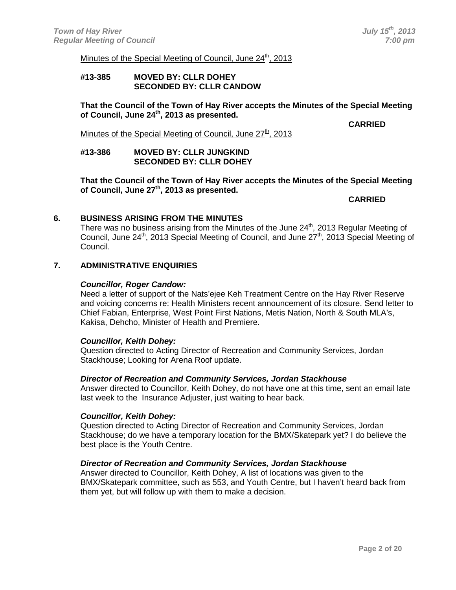Minutes of the Special Meeting of Council, June  $24<sup>th</sup>$ , 2013

#### **#13-385 MOVED BY: CLLR DOHEY SECONDED BY: CLLR CANDOW**

**That the Council of the Town of Hay River accepts the Minutes of the Special Meeting of Council, June 24th, 2013 as presented.**

**CARRIED**

Minutes of the Special Meeting of Council, June  $27<sup>th</sup>$ , 2013

#### **#13-386 MOVED BY: CLLR JUNGKIND SECONDED BY: CLLR DOHEY**

**That the Council of the Town of Hay River accepts the Minutes of the Special Meeting of Council, June 27th, 2013 as presented.**

**CARRIED**

#### **6. BUSINESS ARISING FROM THE MINUTES**

There was no business arising from the Minutes of the June 24<sup>th</sup>, 2013 Regular Meeting of Council, June 24<sup>th</sup>, 2013 Special Meeting of Council, and June 27<sup>th</sup>, 2013 Special Meeting of Council.

#### **7. ADMINISTRATIVE ENQUIRIES**

#### *Councillor, Roger Candow:*

Need a letter of support of the Nats'ejee Keh Treatment Centre on the Hay River Reserve and voicing concerns re: Health Ministers recent announcement of its closure. Send letter to Chief Fabian, Enterprise, West Point First Nations, Metis Nation, North & South MLA's, Kakisa, Dehcho, Minister of Health and Premiere.

#### *Councillor, Keith Dohey:*

Question directed to Acting Director of Recreation and Community Services, Jordan Stackhouse; Looking for Arena Roof update.

#### *Director of Recreation and Community Services, Jordan Stackhouse*

Answer directed to Councillor, Keith Dohey, do not have one at this time, sent an email late last week to the Insurance Adjuster, just waiting to hear back.

#### *Councillor, Keith Dohey:*

Question directed to Acting Director of Recreation and Community Services, Jordan Stackhouse; do we have a temporary location for the BMX/Skatepark yet? I do believe the best place is the Youth Centre.

#### *Director of Recreation and Community Services, Jordan Stackhouse*

Answer directed to Councillor, Keith Dohey, A list of locations was given to the BMX/Skatepark committee, such as 553, and Youth Centre, but I haven't heard back from them yet, but will follow up with them to make a decision.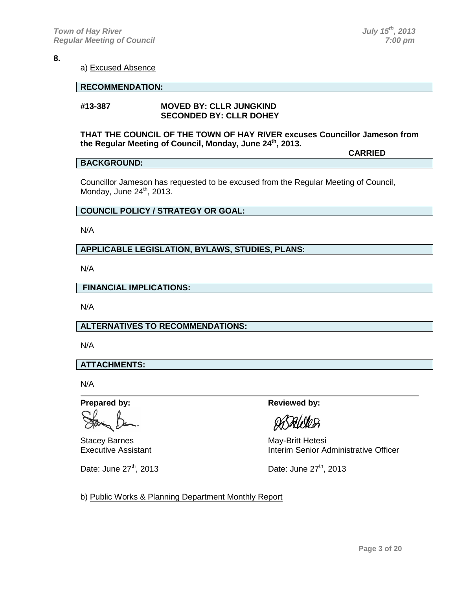a) Excused Absence

#### **RECOMMENDATION:**

#### **#13-387 MOVED BY: CLLR JUNGKIND SECONDED BY: CLLR DOHEY**

#### **THAT THE COUNCIL OF THE TOWN OF HAY RIVER excuses Councillor Jameson from the Regular Meeting of Council, Monday, June 24th, 2013.**

**CARRIED**

#### **BACKGROUND:**

Councillor Jameson has requested to be excused from the Regular Meeting of Council, Monday, June  $24<sup>th</sup>$ , 2013.

#### **COUNCIL POLICY / STRATEGY OR GOAL:**

N/A

#### **APPLICABLE LEGISLATION, BYLAWS, STUDIES, PLANS:**

N/A

**FINANCIAL IMPLICATIONS:**

N/A

#### **ALTERNATIVES TO RECOMMENDATIONS:**

N/A

#### **ATTACHMENTS:**

N/A

**Prepared by: Reviewed by: Reviewed by:** 

Stacey Barnes<br>
Executive Assistant<br>
Executive Assistant<br>
May-Britt Hetesi

ABALORES

Interim Senior Administrative Officer

Date: June  $27<sup>th</sup>$ , 2013 Date: June  $27<sup>th</sup>$ , 2013

b) Public Works & Planning Department Monthly Report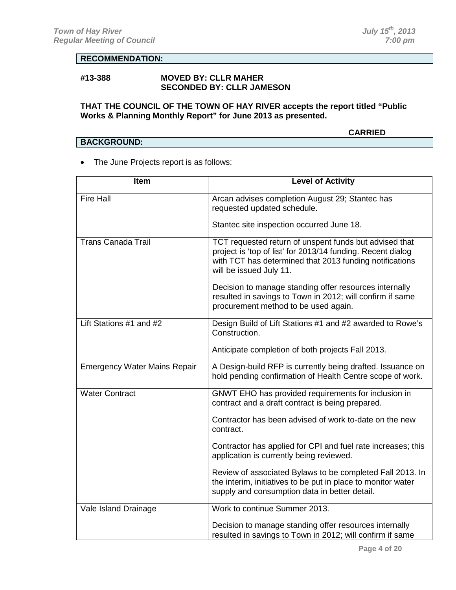#### **RECOMMENDATION:**

#### **#13-388 MOVED BY: CLLR MAHER SECONDED BY: CLLR JAMESON**

#### **THAT THE COUNCIL OF THE TOWN OF HAY RIVER accepts the report titled "Public Works & Planning Monthly Report" for June 2013 as presented.**

#### **CARRIED**

# **BACKGROUND:**

• The June Projects report is as follows:

| <b>Item</b>                         | <b>Level of Activity</b>                                                                                                                                                                                    |
|-------------------------------------|-------------------------------------------------------------------------------------------------------------------------------------------------------------------------------------------------------------|
| <b>Fire Hall</b>                    | Arcan advises completion August 29; Stantec has<br>requested updated schedule.                                                                                                                              |
|                                     | Stantec site inspection occurred June 18.                                                                                                                                                                   |
| <b>Trans Canada Trail</b>           | TCT requested return of unspent funds but advised that<br>project is 'top of list' for 2013/14 funding. Recent dialog<br>with TCT has determined that 2013 funding notifications<br>will be issued July 11. |
|                                     | Decision to manage standing offer resources internally<br>resulted in savings to Town in 2012; will confirm if same<br>procurement method to be used again.                                                 |
| Lift Stations #1 and #2             | Design Build of Lift Stations #1 and #2 awarded to Rowe's<br>Construction.                                                                                                                                  |
|                                     | Anticipate completion of both projects Fall 2013.                                                                                                                                                           |
| <b>Emergency Water Mains Repair</b> | A Design-build RFP is currently being drafted. Issuance on<br>hold pending confirmation of Health Centre scope of work.                                                                                     |
| <b>Water Contract</b>               | GNWT EHO has provided requirements for inclusion in<br>contract and a draft contract is being prepared.                                                                                                     |
|                                     | Contractor has been advised of work to-date on the new<br>contract.                                                                                                                                         |
|                                     | Contractor has applied for CPI and fuel rate increases; this<br>application is currently being reviewed.                                                                                                    |
|                                     | Review of associated Bylaws to be completed Fall 2013. In<br>the interim, initiatives to be put in place to monitor water<br>supply and consumption data in better detail.                                  |
| Vale Island Drainage                | Work to continue Summer 2013.                                                                                                                                                                               |
|                                     | Decision to manage standing offer resources internally<br>resulted in savings to Town in 2012; will confirm if same                                                                                         |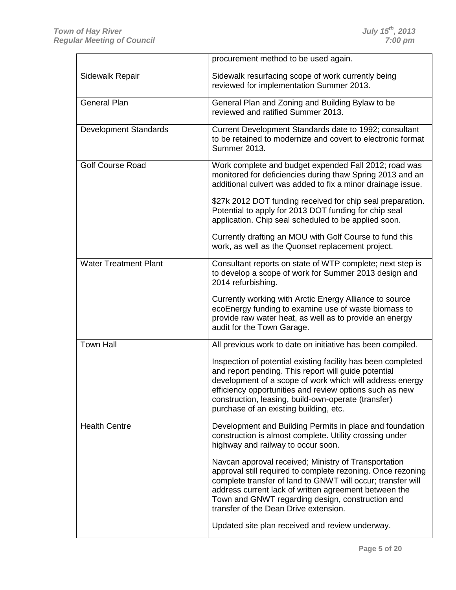|                              | procurement method to be used again.                                                                                                                                                                                                                                                                                                         |
|------------------------------|----------------------------------------------------------------------------------------------------------------------------------------------------------------------------------------------------------------------------------------------------------------------------------------------------------------------------------------------|
| Sidewalk Repair              | Sidewalk resurfacing scope of work currently being<br>reviewed for implementation Summer 2013.                                                                                                                                                                                                                                               |
| <b>General Plan</b>          | General Plan and Zoning and Building Bylaw to be<br>reviewed and ratified Summer 2013.                                                                                                                                                                                                                                                       |
| <b>Development Standards</b> | Current Development Standards date to 1992; consultant<br>to be retained to modernize and covert to electronic format<br><b>Summer 2013.</b>                                                                                                                                                                                                 |
| <b>Golf Course Road</b>      | Work complete and budget expended Fall 2012; road was<br>monitored for deficiencies during thaw Spring 2013 and an<br>additional culvert was added to fix a minor drainage issue.                                                                                                                                                            |
|                              | \$27k 2012 DOT funding received for chip seal preparation.<br>Potential to apply for 2013 DOT funding for chip seal<br>application. Chip seal scheduled to be applied soon.                                                                                                                                                                  |
|                              | Currently drafting an MOU with Golf Course to fund this<br>work, as well as the Quonset replacement project.                                                                                                                                                                                                                                 |
| <b>Water Treatment Plant</b> | Consultant reports on state of WTP complete; next step is<br>to develop a scope of work for Summer 2013 design and<br>2014 refurbishing.                                                                                                                                                                                                     |
|                              | Currently working with Arctic Energy Alliance to source<br>ecoEnergy funding to examine use of waste biomass to<br>provide raw water heat, as well as to provide an energy<br>audit for the Town Garage.                                                                                                                                     |
| <b>Town Hall</b>             | All previous work to date on initiative has been compiled.                                                                                                                                                                                                                                                                                   |
|                              | Inspection of potential existing facility has been completed<br>and report pending. This report will guide potential<br>development of a scope of work which will address energy<br>efficiency opportunities and review options such as new<br>construction, leasing, build-own-operate (transfer)<br>purchase of an existing building, etc. |
| <b>Health Centre</b>         | Development and Building Permits in place and foundation<br>construction is almost complete. Utility crossing under<br>highway and railway to occur soon.                                                                                                                                                                                    |
|                              | Navcan approval received; Ministry of Transportation<br>approval still required to complete rezoning. Once rezoning<br>complete transfer of land to GNWT will occur; transfer will<br>address current lack of written agreement between the<br>Town and GNWT regarding design, construction and<br>transfer of the Dean Drive extension.     |
|                              | Updated site plan received and review underway.                                                                                                                                                                                                                                                                                              |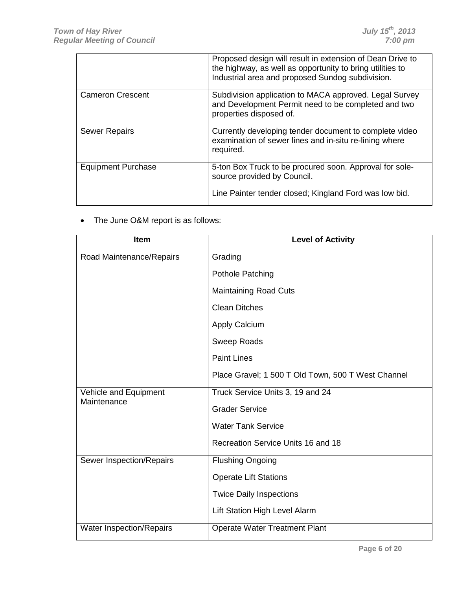|                           | Proposed design will result in extension of Dean Drive to<br>the highway, as well as opportunity to bring utilities to<br>Industrial area and proposed Sundog subdivision. |
|---------------------------|----------------------------------------------------------------------------------------------------------------------------------------------------------------------------|
| <b>Cameron Crescent</b>   | Subdivision application to MACA approved. Legal Survey<br>and Development Permit need to be completed and two<br>properties disposed of.                                   |
| <b>Sewer Repairs</b>      | Currently developing tender document to complete video<br>examination of sewer lines and in-situ re-lining where<br>required.                                              |
| <b>Equipment Purchase</b> | 5-ton Box Truck to be procured soon. Approval for sole-<br>source provided by Council.                                                                                     |
|                           | Line Painter tender closed; Kingland Ford was low bid.                                                                                                                     |

• The June O&M report is as follows:

| Item                                 | <b>Level of Activity</b>                           |
|--------------------------------------|----------------------------------------------------|
| Road Maintenance/Repairs             | Grading                                            |
|                                      | Pothole Patching                                   |
|                                      | <b>Maintaining Road Cuts</b>                       |
|                                      | <b>Clean Ditches</b>                               |
|                                      | <b>Apply Calcium</b>                               |
|                                      | <b>Sweep Roads</b>                                 |
|                                      | <b>Paint Lines</b>                                 |
|                                      | Place Gravel; 1 500 T Old Town, 500 T West Channel |
| Vehicle and Equipment<br>Maintenance | Truck Service Units 3, 19 and 24                   |
|                                      | <b>Grader Service</b>                              |
|                                      | <b>Water Tank Service</b>                          |
|                                      | Recreation Service Units 16 and 18                 |
| Sewer Inspection/Repairs             | <b>Flushing Ongoing</b>                            |
|                                      | <b>Operate Lift Stations</b>                       |
|                                      | <b>Twice Daily Inspections</b>                     |
|                                      | Lift Station High Level Alarm                      |
| Water Inspection/Repairs             | <b>Operate Water Treatment Plant</b>               |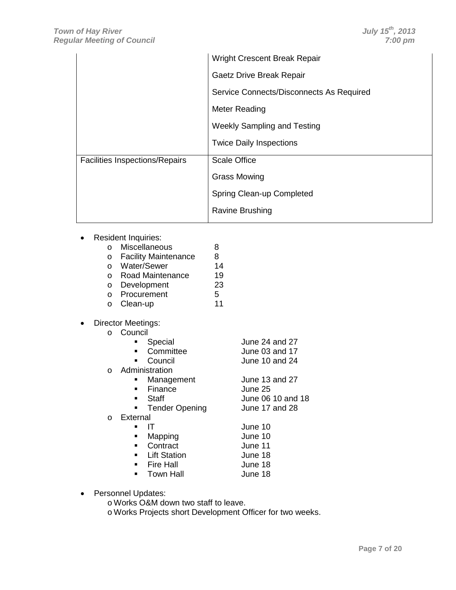|                                       | <b>Wright Crescent Break Repair</b>      |
|---------------------------------------|------------------------------------------|
|                                       | Gaetz Drive Break Repair                 |
|                                       | Service Connects/Disconnects As Required |
|                                       | Meter Reading                            |
|                                       | <b>Weekly Sampling and Testing</b>       |
|                                       | <b>Twice Daily Inspections</b>           |
| <b>Facilities Inspections/Repairs</b> | <b>Scale Office</b>                      |
|                                       | <b>Grass Mowing</b>                      |
|                                       | Spring Clean-up Completed                |
|                                       | <b>Ravine Brushing</b>                   |

• Resident Inquiries:

| $\cap$  | Miscellaneous               | 8  |
|---------|-----------------------------|----|
| $\circ$ | <b>Facility Maintenance</b> | 8  |
| $\cap$  | Water/Sewer                 | 14 |
| $\cap$  | <b>Road Maintenance</b>     | 19 |
| $\circ$ | Development                 | 23 |
| $\cap$  | Procurement                 | 5  |
|         |                             |    |

- o Clean-up 11
- Director Meetings:

| • Special   | June 24 and 27 |
|-------------|----------------|
| • Committee | June 03 and 17 |
| • Council   | June 10 and 24 |

- 
- o Administration
	- **Management** June 13 and 27<br>
	Finance June 25 **Finance**<br>**Bune 25**<br>June 25
	- June 06 10 and 18<br>June 17 and 28 **Tender Opening**

#### o External

| $\blacksquare$ | -IT              | June 10 |
|----------------|------------------|---------|
|                | Mapping          | June 10 |
|                | Contract         | June 11 |
|                | • Lift Station   | June 18 |
|                | <b>Fire Hall</b> | June 18 |
|                | Town Hall        | June 18 |

- Personnel Updates:
	- o Works O&M down two staff to leave.
	- o Works Projects short Development Officer for two weeks.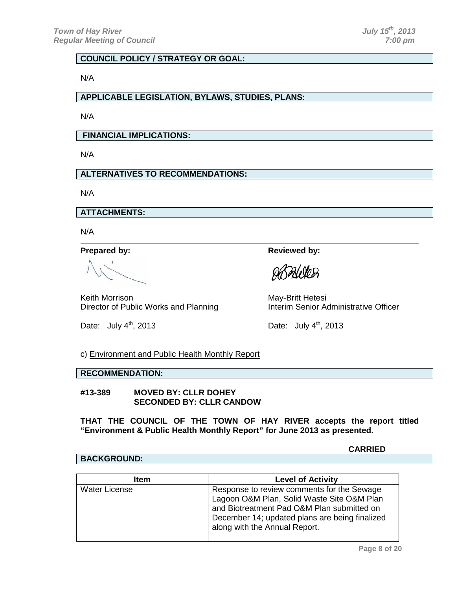#### **COUNCIL POLICY / STRATEGY OR GOAL:**

N/A

#### **APPLICABLE LEGISLATION, BYLAWS, STUDIES, PLANS:**

N/A

**FINANCIAL IMPLICATIONS:**

N/A

#### **ALTERNATIVES TO RECOMMENDATIONS:**

N/A

**ATTACHMENTS:**

N/A

Keith Morrison<br>Director of Public Works and Planning<br>Interim Senior Administrative Officer Director of Public Works and Planning

Date: July  $4<sup>th</sup>$ , 2013 Date: July  $4<sup>th</sup>$ , 2013

**Prepared by: Reviewed by: Reviewed by:** 

**Pale VOB** 

c) Environment and Public Health Monthly Report

#### **RECOMMENDATION:**

**#13-389 MOVED BY: CLLR DOHEY SECONDED BY: CLLR CANDOW**

**THAT THE COUNCIL OF THE TOWN OF HAY RIVER accepts the report titled "Environment & Public Health Monthly Report" for June 2013 as presented.**

**CARRIED**

#### **BACKGROUND:**

| <b>Item</b>          | <b>Level of Activity</b>                                                                                                                                                                                                  |
|----------------------|---------------------------------------------------------------------------------------------------------------------------------------------------------------------------------------------------------------------------|
| <b>Water License</b> | Response to review comments for the Sewage<br>Lagoon O&M Plan, Solid Waste Site O&M Plan<br>and Biotreatment Pad O&M Plan submitted on<br>December 14; updated plans are being finalized<br>along with the Annual Report. |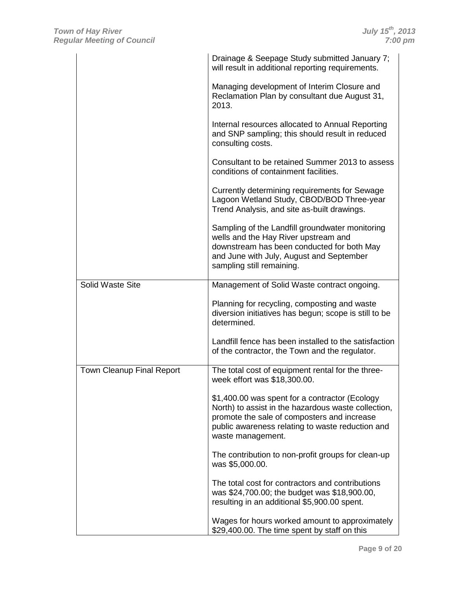|                           | Drainage & Seepage Study submitted January 7;<br>will result in additional reporting requirements.                                                                                                                            |
|---------------------------|-------------------------------------------------------------------------------------------------------------------------------------------------------------------------------------------------------------------------------|
|                           | Managing development of Interim Closure and<br>Reclamation Plan by consultant due August 31,<br>2013.                                                                                                                         |
|                           | Internal resources allocated to Annual Reporting<br>and SNP sampling; this should result in reduced<br>consulting costs.                                                                                                      |
|                           | Consultant to be retained Summer 2013 to assess<br>conditions of containment facilities.                                                                                                                                      |
|                           | Currently determining requirements for Sewage<br>Lagoon Wetland Study, CBOD/BOD Three-year<br>Trend Analysis, and site as-built drawings.                                                                                     |
|                           | Sampling of the Landfill groundwater monitoring<br>wells and the Hay River upstream and<br>downstream has been conducted for both May<br>and June with July, August and September<br>sampling still remaining.                |
| Solid Waste Site          | Management of Solid Waste contract ongoing.                                                                                                                                                                                   |
|                           | Planning for recycling, composting and waste<br>diversion initiatives has begun; scope is still to be<br>determined.                                                                                                          |
|                           | Landfill fence has been installed to the satisfaction<br>of the contractor, the Town and the regulator.                                                                                                                       |
| Town Cleanup Final Report | The total cost of equipment rental for the three-<br>week effort was \$18,300.00.                                                                                                                                             |
|                           | \$1,400.00 was spent for a contractor (Ecology<br>North) to assist in the hazardous waste collection,<br>promote the sale of composters and increase<br>public awareness relating to waste reduction and<br>waste management. |
|                           | The contribution to non-profit groups for clean-up<br>was \$5,000.00.                                                                                                                                                         |
|                           | The total cost for contractors and contributions<br>was \$24,700.00; the budget was \$18,900.00,<br>resulting in an additional \$5,900.00 spent.                                                                              |
|                           | Wages for hours worked amount to approximately<br>\$29,400.00. The time spent by staff on this                                                                                                                                |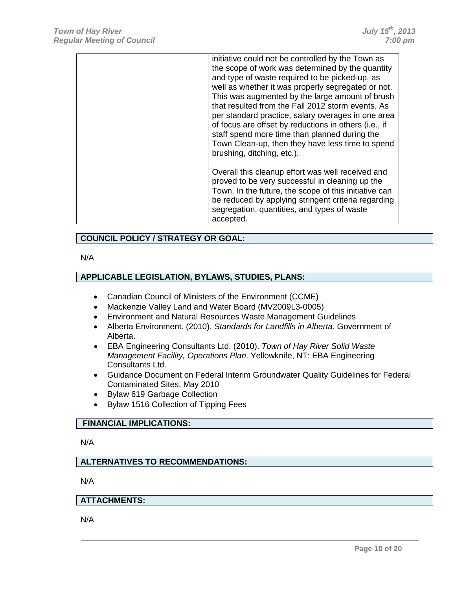| initiative could not be controlled by the Town as<br>the scope of work was determined by the quantity<br>and type of waste required to be picked-up, as<br>well as whether it was properly segregated or not.<br>This was augmented by the large amount of brush<br>that resulted from the Fall 2012 storm events. As<br>per standard practice, salary overages in one area<br>of focus are offset by reductions in others (i.e., if<br>staff spend more time than planned during the<br>Town Clean-up, then they have less time to spend<br>brushing, ditching, etc.). |
|-------------------------------------------------------------------------------------------------------------------------------------------------------------------------------------------------------------------------------------------------------------------------------------------------------------------------------------------------------------------------------------------------------------------------------------------------------------------------------------------------------------------------------------------------------------------------|
| Overall this cleanup effort was well received and<br>proved to be very successful in cleaning up the<br>Town. In the future, the scope of this initiative can<br>be reduced by applying stringent criteria regarding<br>segregation, quantities, and types of waste<br>accepted.                                                                                                                                                                                                                                                                                        |

#### **COUNCIL POLICY / STRATEGY OR GOAL:**

#### N/A

#### **APPLICABLE LEGISLATION, BYLAWS, STUDIES, PLANS:**

- Canadian Council of Ministers of the Environment (CCME)
- Mackenzie Valley Land and Water Board (MV2009L3-0005)
- Environment and Natural Resources Waste Management Guidelines
- Alberta Environment. (2010). *Standards for Landfills in Alberta*. Government of Alberta.
- EBA Engineering Consultants Ltd. (2010). *Town of Hay River Solid Waste Management Facility, Operations Plan*. Yellowknife, NT: EBA Engineering Consultants Ltd.
- Guidance Document on Federal Interim Groundwater Quality Guidelines for Federal Contaminated Sites, May 2010
- Bylaw 619 Garbage Collection
- Bylaw 1516 Collection of Tipping Fees

### **FINANCIAL IMPLICATIONS:**

N/A

#### **ALTERNATIVES TO RECOMMENDATIONS:**

N/A

#### **ATTACHMENTS:**

N/A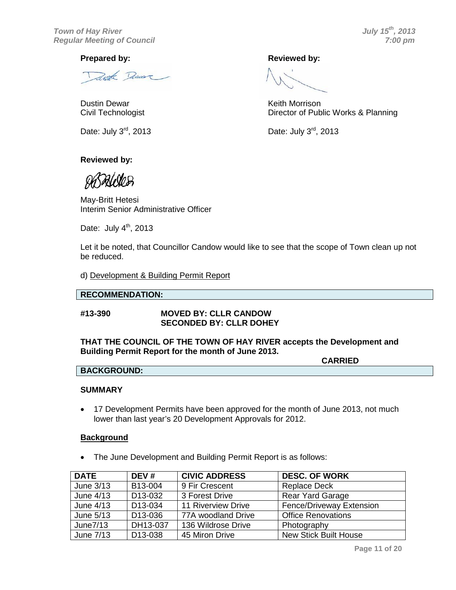*Town of Hay River July 15th, 2013* **Regular Meeting of Council** 

Zwith Denver

Dustin Dewar **News** Contract Contract Contract Contract Contract Contract Contract Contract Contract Contract Contract Contract Contract Contract Contract Contract Contract Contract Contract Contract Contract Contract Cont

#### **Reviewed by:**

May-Britt Hetesi Interim Senior Administrative Officer

Date: July  $4<sup>th</sup>$ , 2013

Let it be noted, that Councillor Candow would like to see that the scope of Town clean up not be reduced.

d) Development & Building Permit Report

#### **RECOMMENDATION:**

#### **#13-390 MOVED BY: CLLR CANDOW SECONDED BY: CLLR DOHEY**

#### **THAT THE COUNCIL OF THE TOWN OF HAY RIVER accepts the Development and Building Permit Report for the month of June 2013.**

**CARRIED BACKGROUND:**

#### **SUMMARY**

• 17 Development Permits have been approved for the month of June 2013, not much lower than last year's 20 Development Approvals for 2012.

#### **Background**

• The June Development and Building Permit Report is as follows:

| <b>DATE</b> | DEV#                 | <b>CIVIC ADDRESS</b> | <b>DESC. OF WORK</b>            |
|-------------|----------------------|----------------------|---------------------------------|
| June 3/13   | B13-004              | 9 Fir Crescent       | <b>Replace Deck</b>             |
| June 4/13   | D <sub>13</sub> -032 | 3 Forest Drive       | <b>Rear Yard Garage</b>         |
| June 4/13   | D13-034              | 11 Riverview Drive   | <b>Fence/Driveway Extension</b> |
| June 5/13   | D <sub>13</sub> -036 | 77A woodland Drive   | <b>Office Renovations</b>       |
| June7/13    | DH13-037             | 136 Wildrose Drive   | Photography                     |
| June 7/13   | D <sub>13</sub> -038 | 45 Miron Drive       | <b>New Stick Built House</b>    |

Civil Technologist **Director of Public Works & Planning** 

Date: July  $3^{rd}$ , 2013 Date: July  $3^{rd}$ , 2013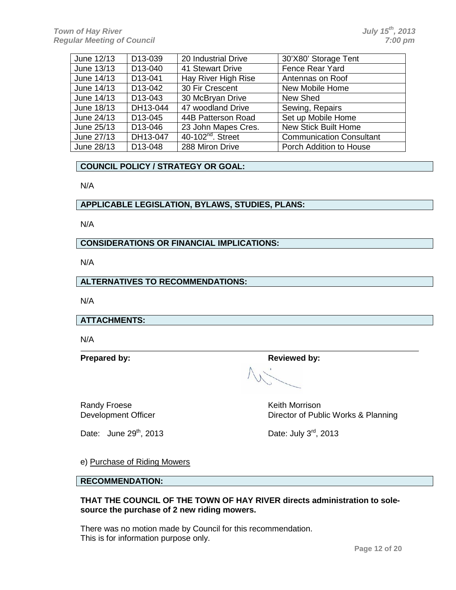| June 12/13 | D13-039              | 20 Industrial Drive                        | 30'X80' Storage Tent            |
|------------|----------------------|--------------------------------------------|---------------------------------|
| June 13/13 | D <sub>13</sub> -040 | 41 Stewart Drive                           | Fence Rear Yard                 |
| June 14/13 | D13-041              | Hay River High Rise                        | Antennas on Roof                |
| June 14/13 | D <sub>13</sub> -042 | 30 Fir Crescent                            | New Mobile Home                 |
| June 14/13 | D <sub>13</sub> -043 | 30 McBryan Drive                           | New Shed                        |
| June 18/13 | DH13-044             | 47 woodland Drive                          | Sewing, Repairs                 |
| June 24/13 | D <sub>13</sub> -045 | 44B Patterson Road                         | Set up Mobile Home              |
| June 25/13 | D <sub>13</sub> -046 | 23 John Mapes Cres.                        | <b>New Stick Built Home</b>     |
| June 27/13 | DH13-047             | $\overline{40-102}$ <sup>nd</sup> . Street | <b>Communication Consultant</b> |
| June 28/13 | D <sub>13</sub> -048 | 288 Miron Drive                            | Porch Addition to House         |

#### **COUNCIL POLICY / STRATEGY OR GOAL:**

N/A

#### **APPLICABLE LEGISLATION, BYLAWS, STUDIES, PLANS:**

N/A

**CONSIDERATIONS OR FINANCIAL IMPLICATIONS:**

N/A

**ALTERNATIVES TO RECOMMENDATIONS:**

N/A

**ATTACHMENTS:**

N/A

**Prepared by: Reviewed by: Reviewed by:** 

Randy Froese **Keith Morrison** Keith Morrison

Date: June  $29^{th}$ , 2013 Date: July  $3^{rd}$ , 2013

Development Officer **Director of Public Works & Planning** 

e) Purchase of Riding Mowers

**RECOMMENDATION:**

#### **THAT THE COUNCIL OF THE TOWN OF HAY RIVER directs administration to solesource the purchase of 2 new riding mowers.**

There was no motion made by Council for this recommendation. This is for information purpose only.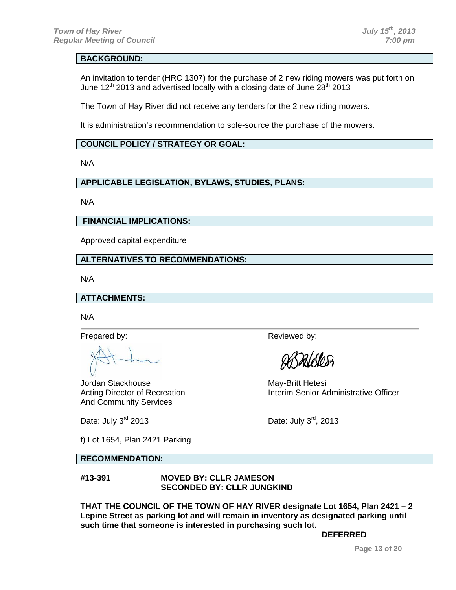#### **BACKGROUND:**

An invitation to tender (HRC 1307) for the purchase of 2 new riding mowers was put forth on June 12<sup>th</sup> 2013 and advertised locally with a closing date of June 28<sup>th</sup> 2013

The Town of Hay River did not receive any tenders for the 2 new riding mowers.

It is administration's recommendation to sole-source the purchase of the mowers.

#### **COUNCIL POLICY / STRATEGY OR GOAL:**

N/A

### **APPLICABLE LEGISLATION, BYLAWS, STUDIES, PLANS:**

N/A

#### **FINANCIAL IMPLICATIONS:**

Approved capital expenditure

#### **ALTERNATIVES TO RECOMMENDATIONS:**

N/A

#### **ATTACHMENTS:**

N/A

Jordan Stackhouse May-Britt Hetesi And Community Services

Date: July  $3^{rd}$  2013 Date: July  $3^{rd}$ , 2013

Prepared by: Neviewed by:

*Pale Vosa* 

Acting Director of Recreation **Interim Senior Administrative Officer** 

f) Lot 1654, Plan 2421 Parking

#### **RECOMMENDATION:**

#### **#13-391 MOVED BY: CLLR JAMESON SECONDED BY: CLLR JUNGKIND**

**THAT THE COUNCIL OF THE TOWN OF HAY RIVER designate Lot 1654, Plan 2421 – 2 Lepine Street as parking lot and will remain in inventory as designated parking until such time that someone is interested in purchasing such lot.**

**DEFERRED**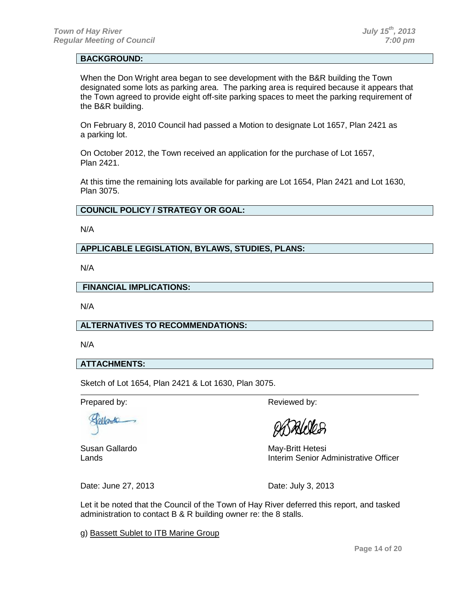#### **BACKGROUND:**

When the Don Wright area began to see development with the B&R building the Town designated some lots as parking area. The parking area is required because it appears that the Town agreed to provide eight off-site parking spaces to meet the parking requirement of the B&R building.

On February 8, 2010 Council had passed a Motion to designate Lot 1657, Plan 2421 as a parking lot.

On October 2012, the Town received an application for the purchase of Lot 1657, Plan 2421.

At this time the remaining lots available for parking are Lot 1654, Plan 2421 and Lot 1630, Plan 3075.

#### **COUNCIL POLICY / STRATEGY OR GOAL:**

N/A

#### **APPLICABLE LEGISLATION, BYLAWS, STUDIES, PLANS:**

N/A

#### **FINANCIAL IMPLICATIONS:**

N/A

#### **ALTERNATIVES TO RECOMMENDATIONS:**

N/A

#### **ATTACHMENTS:**

Sketch of Lot 1654, Plan 2421 & Lot 1630, Plan 3075.

Prepared by: Reviewed by:

Gerarde

Susan Gallardo **May-Britt Hetesi** Lands Interim Senior Administrative Officer

Date: June 27, 2013 **Date: July 3, 2013** 

Let it be noted that the Council of the Town of Hay River deferred this report, and tasked administration to contact B & R building owner re: the 8 stalls.

g) Bassett Sublet to ITB Marine Group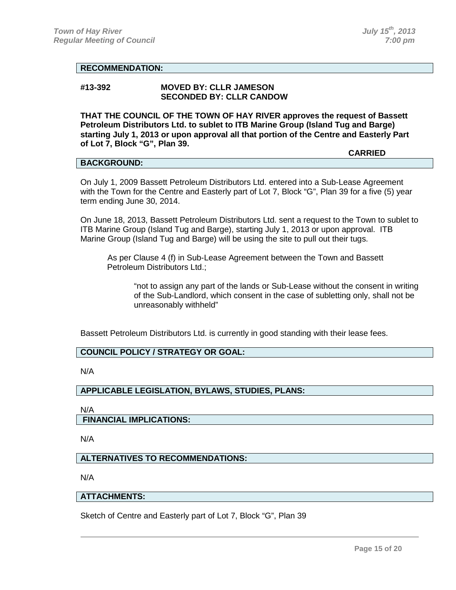**CARRIED**

#### **RECOMMENDATION:**

#### **#13-392 MOVED BY: CLLR JAMESON SECONDED BY: CLLR CANDOW**

**THAT THE COUNCIL OF THE TOWN OF HAY RIVER approves the request of Bassett Petroleum Distributors Ltd. to sublet to ITB Marine Group (Island Tug and Barge) starting July 1, 2013 or upon approval all that portion of the Centre and Easterly Part of Lot 7, Block "G", Plan 39.**

#### **BACKGROUND:**

On July 1, 2009 Bassett Petroleum Distributors Ltd. entered into a Sub-Lease Agreement with the Town for the Centre and Easterly part of Lot 7, Block "G", Plan 39 for a five (5) year term ending June 30, 2014.

On June 18, 2013, Bassett Petroleum Distributors Ltd. sent a request to the Town to sublet to ITB Marine Group (Island Tug and Barge), starting July 1, 2013 or upon approval. ITB Marine Group (Island Tug and Barge) will be using the site to pull out their tugs.

As per Clause 4 (f) in Sub-Lease Agreement between the Town and Bassett Petroleum Distributors Ltd.;

"not to assign any part of the lands or Sub-Lease without the consent in writing of the Sub-Landlord, which consent in the case of subletting only, shall not be unreasonably withheld"

Bassett Petroleum Distributors Ltd. is currently in good standing with their lease fees.

#### **COUNCIL POLICY / STRATEGY OR GOAL:**

N/A

#### **APPLICABLE LEGISLATION, BYLAWS, STUDIES, PLANS:**

N/A **FINANCIAL IMPLICATIONS:**

N/A

#### **ALTERNATIVES TO RECOMMENDATIONS:**

N/A

#### **ATTACHMENTS:**

Sketch of Centre and Easterly part of Lot 7, Block "G", Plan 39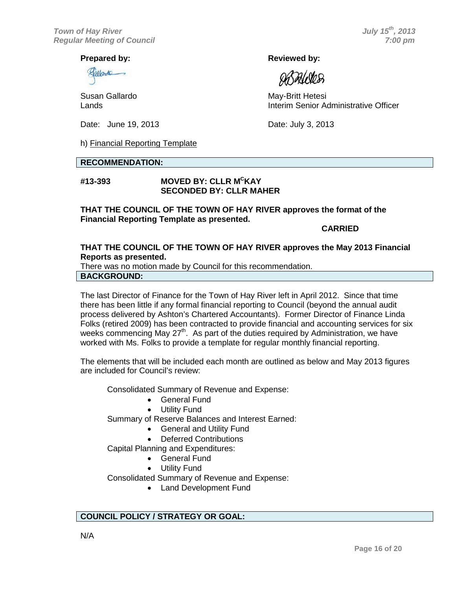Gallanda

Date: June 19, 2013 **Date: July 3, 2013** 

h) Financial Reporting Template

#### **RECOMMENDATION:**

#### **#13-393 MOVED BY: CLLR MC KAY SECONDED BY: CLLR MAHER**

**THAT THE COUNCIL OF THE TOWN OF HAY RIVER approves the format of the Financial Reporting Template as presented.**

**CARRIED**

#### **THAT THE COUNCIL OF THE TOWN OF HAY RIVER approves the May 2013 Financial Reports as presented.**

There was no motion made by Council for this recommendation. **BACKGROUND:**

The last Director of Finance for the Town of Hay River left in April 2012. Since that time there has been little if any formal financial reporting to Council (beyond the annual audit process delivered by Ashton's Chartered Accountants). Former Director of Finance Linda Folks (retired 2009) has been contracted to provide financial and accounting services for six weeks commencing May 27<sup>th</sup>. As part of the duties required by Administration, we have worked with Ms. Folks to provide a template for regular monthly financial reporting.

The elements that will be included each month are outlined as below and May 2013 figures are included for Council's review:

Consolidated Summary of Revenue and Expense:

- General Fund
- **Utility Fund**

Summary of Reserve Balances and Interest Earned:

- General and Utility Fund
- **Deferred Contributions**

Capital Planning and Expenditures:

- General Fund
- Utility Fund

Consolidated Summary of Revenue and Expense:

• Land Development Fund

#### **COUNCIL POLICY / STRATEGY OR GOAL:**

**Prepared by: Reviewed by: Reviewed by: Reviewed by:** 

**DATALORES** 

Susan Gallardo **May-Britt Hetesi** Lands Interim Senior Administrative Officer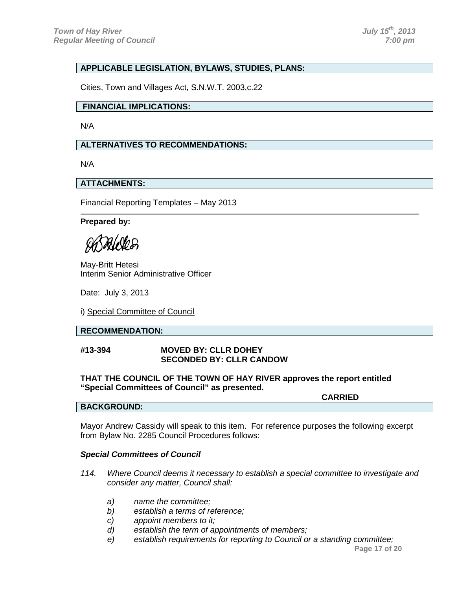#### **APPLICABLE LEGISLATION, BYLAWS, STUDIES, PLANS:**

Cities, Town and Villages Act, S.N.W.T. 2003,c.22

#### **FINANCIAL IMPLICATIONS:**

N/A

#### **ALTERNATIVES TO RECOMMENDATIONS:**

N/A

#### **ATTACHMENTS:**

Financial Reporting Templates – May 2013

#### **Prepared by:**

DAI NO D

May-Britt Hetesi Interim Senior Administrative Officer

Date: July 3, 2013

i) Special Committee of Council

#### **RECOMMENDATION:**

#### **#13-394 MOVED BY: CLLR DOHEY SECONDED BY: CLLR CANDOW**

#### **THAT THE COUNCIL OF THE TOWN OF HAY RIVER approves the report entitled "Special Committees of Council" as presented.**

**CARRIED**

#### **BACKGROUND:**

Mayor Andrew Cassidy will speak to this item. For reference purposes the following excerpt from Bylaw No. 2285 Council Procedures follows:

#### *Special Committees of Council*

- *114. Where Council deems it necessary to establish a special committee to investigate and consider any matter, Council shall:*
	- *a) name the committee;*
	- *b) establish a terms of reference;*
	- *c) appoint members to it;*
	- *d) establish the term of appointments of members;*
	- *e) establish requirements for reporting to Council or a standing committee;*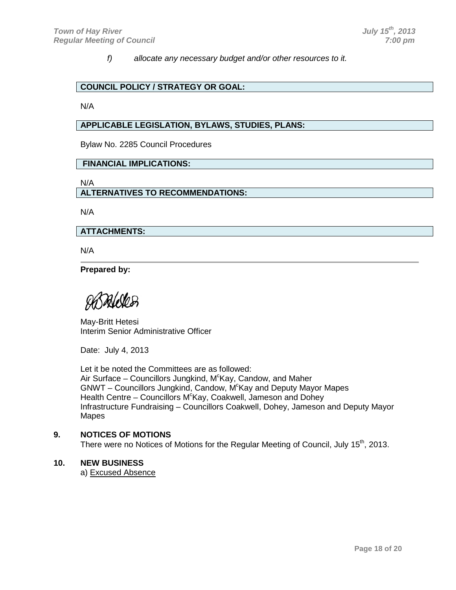*f) allocate any necessary budget and/or other resources to it.*

#### **COUNCIL POLICY / STRATEGY OR GOAL:**

N/A

#### **APPLICABLE LEGISLATION, BYLAWS, STUDIES, PLANS:**

Bylaw No. 2285 Council Procedures

#### **FINANCIAL IMPLICATIONS:**

N/A

#### **ALTERNATIVES TO RECOMMENDATIONS:**

N/A

#### **ATTACHMENTS:**

N/A

**Prepared by:**

 $\partial a/\partial b$ 

May-Britt Hetesi Interim Senior Administrative Officer

Date: July 4, 2013

Let it be noted the Committees are as followed: Air Surface – Councillors Jungkind, M<sup>c</sup>Kay, Candow, and Maher GNWT - Councillors Jungkind, Candow, M<sup>c</sup>Kay and Deputy Mayor Mapes Health Centre - Councillors M<sup>c</sup>Kay, Coakwell, Jameson and Dohey Infrastructure Fundraising – Councillors Coakwell, Dohey, Jameson and Deputy Mayor Mapes

#### **9. NOTICES OF MOTIONS**

There were no Notices of Motions for the Regular Meeting of Council, July 15<sup>th</sup>, 2013.

#### **10. NEW BUSINESS**

a) Excused Absence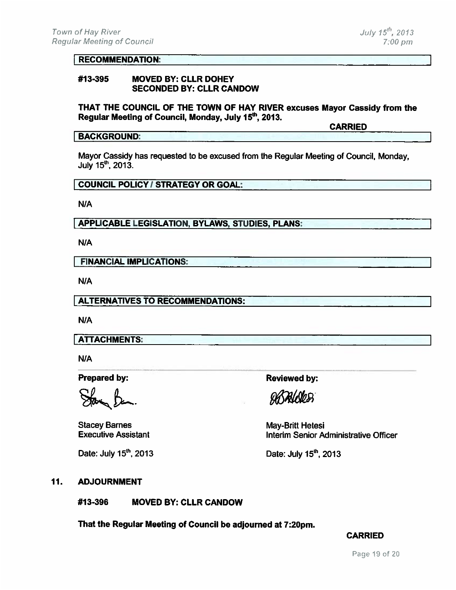#### **RECOMMENDATION:**

#### #13-395 **MOVED BY: CLLR DOHEY SECONDED BY: CLLR CANDOW**

THAT THE COUNCIL OF THE TOWN OF HAY RIVER excuses Mayor Cassidy from the Regular Meeting of Council, Monday, July 15<sup>th</sup>, 2013.

**CARRIED** 

#### **BACKGROUND:**

Mayor Cassidy has requested to be excused from the Regular Meeting of Council, Monday, July 15<sup>th</sup>, 2013.

#### **COUNCIL POLICY / STRATEGY OR GOAL:**

N/A

**APPLICABLE LEGISLATION, BYLAWS, STUDIES, PLANS:** 

N/A

**FINANCIAL IMPLICATIONS:** 

N/A

**ALTERNATIVES TO RECOMMENDATIONS:** 

N/A

**ATTACHMENTS:** 

N/A

**Prepared by:** 

**Stacey Barnes Executive Assistant** 

Date: July 15<sup>th</sup>, 2013

**Reviewed by:** 

**DATALOGES** 

May-Britt Hetesi Interim Senior Administrative Officer

Date: July 15<sup>th</sup>, 2013

#### 11. **ADJOURNMENT**

#13-396 **MOVED BY: CLLR CANDOW** 

That the Regular Meeting of Council be adjourned at 7:20pm.

#### **CARRIED**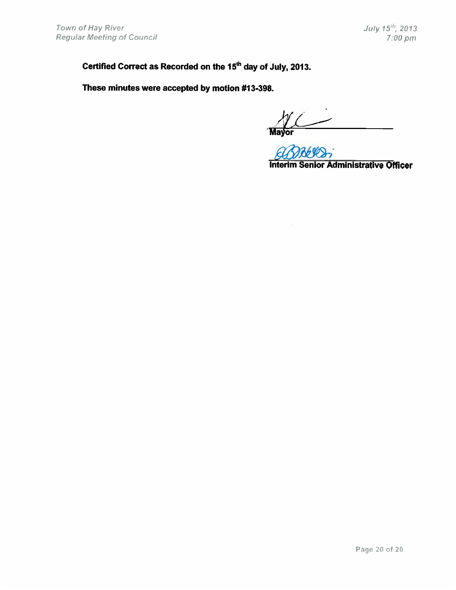Certified Correct as Recorded on the 15<sup>th</sup> day of July, 2013.

These minutes were accepted by motion #13-398.

 $\overline{\phantom{a}}$ ior<br>Ior

**Interim Senior Administrative Officer**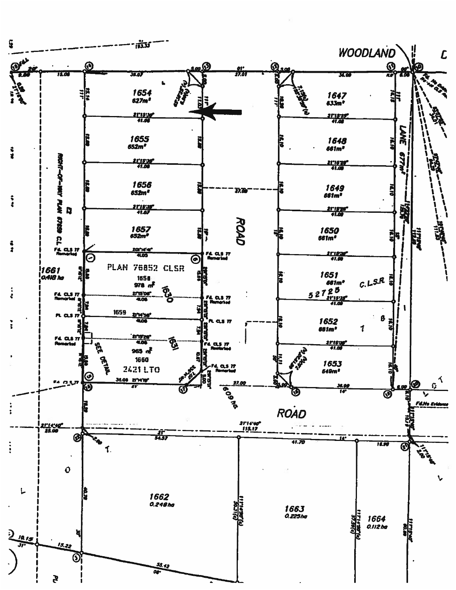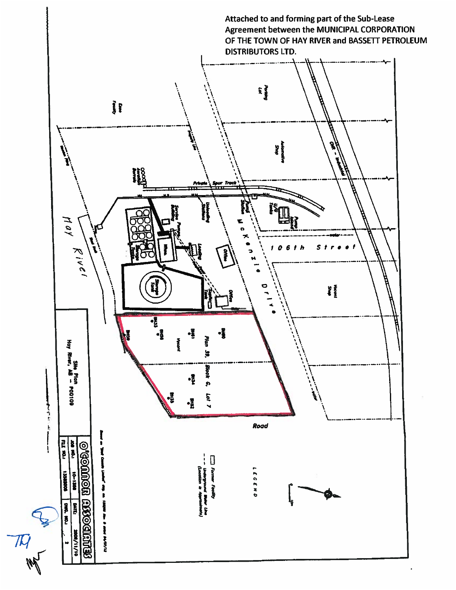

 $\mathcal{\overline{M}}$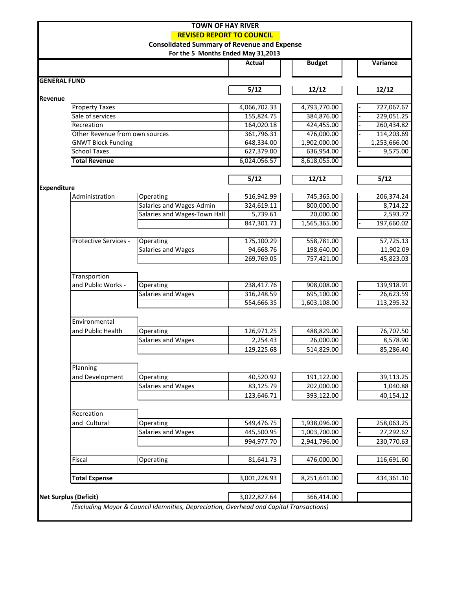| <b>TOWN OF HAY RIVER</b>         |                                |                                                                                         |               |               |                 |  |  |  |
|----------------------------------|--------------------------------|-----------------------------------------------------------------------------------------|---------------|---------------|-----------------|--|--|--|
| <b>REVISED REPORT TO COUNCIL</b> |                                |                                                                                         |               |               |                 |  |  |  |
|                                  |                                | <b>Consolidated Summary of Revenue and Expense</b>                                      |               |               |                 |  |  |  |
|                                  |                                | For the 5 Months Ended May 31,2013                                                      |               |               |                 |  |  |  |
|                                  |                                |                                                                                         | <b>Actual</b> | <b>Budget</b> | <b>Variance</b> |  |  |  |
|                                  |                                |                                                                                         |               |               |                 |  |  |  |
| <b>GENERAL FUND</b>              |                                |                                                                                         |               |               |                 |  |  |  |
|                                  |                                |                                                                                         | 5/12          | 12/12         | 12/12           |  |  |  |
| Revenue                          |                                |                                                                                         |               |               |                 |  |  |  |
|                                  | <b>Property Taxes</b>          |                                                                                         | 4,066,702.33  | 4,793,770.00  | 727,067.67      |  |  |  |
|                                  | Sale of services               |                                                                                         | 155,824.75    | 384,876.00    | 229,051.25      |  |  |  |
|                                  | Recreation                     |                                                                                         | 164,020.18    | 424,455.00    | 260,434.82      |  |  |  |
|                                  | Other Revenue from own sources |                                                                                         | 361,796.31    | 476,000.00    | 114,203.69      |  |  |  |
|                                  | <b>GNWT Block Funding</b>      |                                                                                         | 648,334.00    | 1,902,000.00  | 1,253,666.00    |  |  |  |
|                                  | <b>School Taxes</b>            |                                                                                         | 627,379.00    | 636,954.00    | 9,575.00        |  |  |  |
|                                  | <b>Total Revenue</b>           |                                                                                         | 6,024,056.57  | 8,618,055.00  |                 |  |  |  |
|                                  |                                |                                                                                         |               |               |                 |  |  |  |
|                                  |                                |                                                                                         | 5/12          | 12/12         | 5/12            |  |  |  |
| <b>Expenditure</b>               |                                |                                                                                         |               |               |                 |  |  |  |
|                                  | Administration -               | Operating                                                                               | 516,942.99    | 745,365.00    | 206,374.24      |  |  |  |
|                                  |                                | Salaries and Wages-Admin                                                                | 324,619.11    | 800,000.00    | 8,714.22        |  |  |  |
|                                  |                                | Salaries and Wages-Town Hall                                                            | 5,739.61      | 20,000.00     | 2,593.72        |  |  |  |
|                                  |                                |                                                                                         | 847,301.71    | 1,565,365.00  | 197,660.02      |  |  |  |
|                                  |                                |                                                                                         |               |               |                 |  |  |  |
|                                  | Protective Services -          | <b>Operating</b>                                                                        | 175,100.29    | 558,781.00    | 57,725.13       |  |  |  |
|                                  |                                | Salaries and Wages                                                                      | 94,668.76     | 198,640.00    | $-11,902.09$    |  |  |  |
|                                  |                                |                                                                                         | 269,769.05    | 757,421.00    | 45,823.03       |  |  |  |
|                                  |                                |                                                                                         |               |               |                 |  |  |  |
|                                  | Transportion                   |                                                                                         |               |               |                 |  |  |  |
|                                  | and Public Works -             | <b>Operating</b>                                                                        | 238,417.76    | 908,008.00    | 139,918.91      |  |  |  |
|                                  |                                | Salaries and Wages                                                                      | 316,248.59    | 695,100.00    | 26,623.59       |  |  |  |
|                                  |                                |                                                                                         | 554,666.35    | 1,603,108.00  | 113,295.32      |  |  |  |
|                                  |                                |                                                                                         |               |               |                 |  |  |  |
|                                  | Environmental                  |                                                                                         |               |               |                 |  |  |  |
|                                  | and Public Health              | Operating                                                                               | 126,971.25    | 488,829.00    | 76,707.50       |  |  |  |
|                                  |                                | Salaries and Wages                                                                      | 2,254.43      | 26,000.00     | 8,578.90        |  |  |  |
|                                  |                                |                                                                                         | 129,225.68    | 514,829.00    | 85,286.40       |  |  |  |
|                                  |                                |                                                                                         |               |               |                 |  |  |  |
|                                  | Planning                       |                                                                                         |               |               |                 |  |  |  |
|                                  | and Development                | Operating                                                                               | 40,520.92     | 191,122.00    | 39,113.25       |  |  |  |
|                                  |                                | Salaries and Wages                                                                      | 83,125.79     | 202,000.00    | 1,040.88        |  |  |  |
|                                  |                                |                                                                                         | 123,646.71    | 393,122.00    | 40,154.12       |  |  |  |
|                                  |                                |                                                                                         |               |               |                 |  |  |  |
|                                  | Recreation                     |                                                                                         |               |               |                 |  |  |  |
|                                  | and Cultural                   | Operating                                                                               | 549,476.75    | 1,938,096.00  | 258,063.25      |  |  |  |
|                                  |                                | Salaries and Wages                                                                      | 445,500.95    | 1,003,700.00  | 27,292.62       |  |  |  |
|                                  |                                |                                                                                         | 994,977.70    | 2,941,796.00  | 230,770.63      |  |  |  |
|                                  |                                |                                                                                         |               |               |                 |  |  |  |
|                                  | Fiscal                         | Operating                                                                               | 81,641.73     | 476,000.00    | 116,691.60      |  |  |  |
|                                  |                                |                                                                                         |               |               |                 |  |  |  |
|                                  | <b>Total Expense</b>           |                                                                                         | 3,001,228.93  | 8,251,641.00  | 434,361.10      |  |  |  |
|                                  |                                |                                                                                         |               |               |                 |  |  |  |
|                                  | <b>Net Surplus (Deficit)</b>   |                                                                                         | 3,022,827.64  | 366,414.00    |                 |  |  |  |
|                                  |                                | (Excluding Mayor & Council Idemnities, Depreciation, Overhead and Capital Transactions) |               |               |                 |  |  |  |
|                                  |                                |                                                                                         |               |               |                 |  |  |  |
|                                  |                                |                                                                                         |               |               |                 |  |  |  |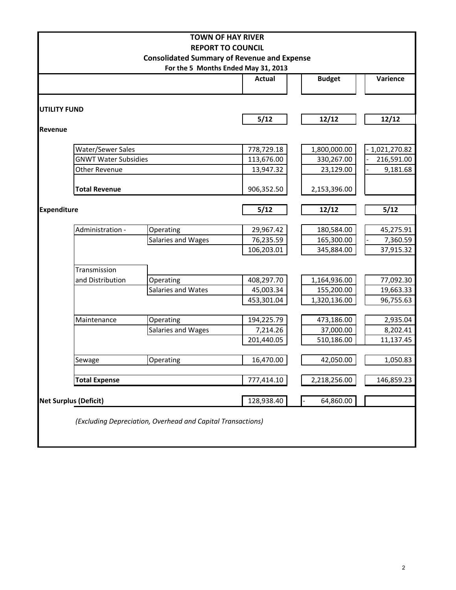|                                                                                           |                             | <b>TOWN OF HAY RIVER</b>                                    |               |               |              |  |  |  |
|-------------------------------------------------------------------------------------------|-----------------------------|-------------------------------------------------------------|---------------|---------------|--------------|--|--|--|
|                                                                                           |                             | <b>REPORT TO COUNCIL</b>                                    |               |               |              |  |  |  |
| <b>Consolidated Summary of Revenue and Expense</b><br>For the 5 Months Ended May 31, 2013 |                             |                                                             |               |               |              |  |  |  |
|                                                                                           |                             |                                                             | <b>Actual</b> | <b>Budget</b> | Varience     |  |  |  |
| <b>UTILITY FUND</b>                                                                       |                             |                                                             |               |               |              |  |  |  |
|                                                                                           |                             |                                                             | 5/12          | 12/12         | 12/12        |  |  |  |
| Revenue                                                                                   |                             |                                                             |               |               |              |  |  |  |
|                                                                                           | Water/Sewer Sales           |                                                             | 778,729.18    | 1,800,000.00  | 1,021,270.82 |  |  |  |
|                                                                                           | <b>GNWT Water Subsidies</b> |                                                             | 113,676.00    | 330,267.00    | 216,591.00   |  |  |  |
|                                                                                           | <b>Other Revenue</b>        |                                                             | 13,947.32     | 23,129.00     | 9,181.68     |  |  |  |
|                                                                                           | <b>Total Revenue</b>        |                                                             | 906,352.50    | 2,153,396.00  |              |  |  |  |
| <b>Expenditure</b>                                                                        |                             |                                                             | 5/12          | 12/12         | 5/12         |  |  |  |
|                                                                                           | Administration -            | Operating                                                   | 29,967.42     | 180,584.00    | 45,275.91    |  |  |  |
|                                                                                           |                             | Salaries and Wages                                          | 76,235.59     | 165,300.00    | 7,360.59     |  |  |  |
|                                                                                           |                             |                                                             | 106,203.01    | 345,884.00    | 37,915.32    |  |  |  |
|                                                                                           | Transmission                |                                                             |               |               |              |  |  |  |
|                                                                                           | and Distribution            | Operating                                                   | 408,297.70    | 1,164,936.00  | 77,092.30    |  |  |  |
|                                                                                           |                             | Salaries and Wates                                          | 45,003.34     | 155,200.00    | 19,663.33    |  |  |  |
|                                                                                           |                             |                                                             | 453,301.04    | 1,320,136.00  | 96,755.63    |  |  |  |
|                                                                                           | Maintenance                 | Operating                                                   | 194,225.79    | 473,186.00    | 2,935.04     |  |  |  |
|                                                                                           |                             | Salaries and Wages                                          | 7,214.26      | 37,000.00     | 8,202.41     |  |  |  |
|                                                                                           |                             |                                                             | 201,440.05    | 510,186.00    | 11,137.45    |  |  |  |
|                                                                                           |                             |                                                             |               |               |              |  |  |  |
|                                                                                           | Sewage                      | Operating                                                   | 16,470.00     | 42,050.00     | 1,050.83     |  |  |  |
|                                                                                           | <b>Total Expense</b>        |                                                             | 777,414.10    | 2,218,256.00  | 146,859.23   |  |  |  |
| <b>Net Surplus (Deficit)</b>                                                              |                             |                                                             | 128,938.40    | 64,860.00     |              |  |  |  |
|                                                                                           |                             | (Excluding Depreciation, Overhead and Capital Transactions) |               |               |              |  |  |  |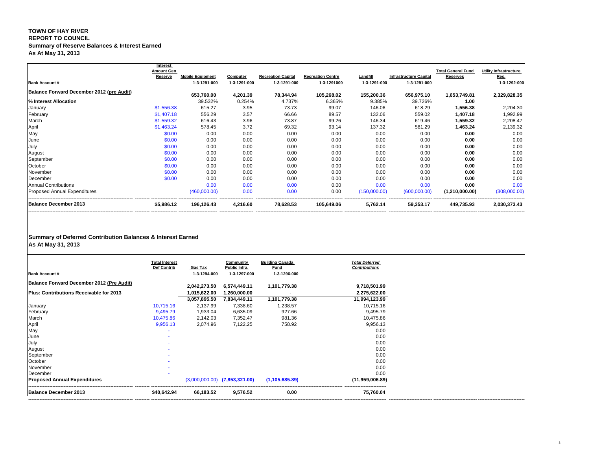## **TOWN OF HAY RIVER REPORT TO COUNCIL Summary of Reserve Balances & Interest Earned As At May 31, 2013**

| <b>Bank Account #</b>                            | <b>Interest</b><br><b>Amount Gen</b><br><b>Reserve</b> | <b>Mobile Equipment</b><br>1-3-1291-000 | <b>Computer</b><br>1-3-1291-000 | <b>Recreation Capital</b><br>1-3-1291-000 | <b>Recreation Centre</b><br>1-3-1291000 | Landfill<br>1-3-1291-000 | <b>Infrastructure Capital</b><br>1-3-1291-000 | <b>Total General Fund</b><br><b>Reserves</b> | <b>Utility Infrastructure</b><br>Res.<br>1-3-1292-000 |
|--------------------------------------------------|--------------------------------------------------------|-----------------------------------------|---------------------------------|-------------------------------------------|-----------------------------------------|--------------------------|-----------------------------------------------|----------------------------------------------|-------------------------------------------------------|
| <b>Balance Forward December 2012 (pre Audit)</b> |                                                        | 653,760.00                              | 4,201.39                        | 78,344.94                                 | 105,268.02                              | 155,200.36               | 656,975.10                                    | 1,653,749.81                                 | 2,329,828.35                                          |
| % Interest Allocation                            |                                                        | 39.532%                                 | 0.254%                          | 4.737%                                    | 6.365%                                  | 9.385%                   | 39.726%                                       | 1.00                                         |                                                       |
| January                                          | \$1,556.38                                             | 615.27                                  | 3.95                            | 73.73                                     | 99.07                                   | 146.06                   | 618.29                                        | 1,556.38                                     | 2,204.30                                              |
| February                                         | \$1,407.18                                             | 556.29                                  | 3.57                            | 66.66                                     | 89.57                                   | 132.06                   | 559.02                                        | 1,407.18                                     | 1,992.99                                              |
| March                                            | \$1,559.32                                             | 616.43                                  | 3.96                            | 73.87                                     | 99.26                                   | 146.34                   | 619.46                                        | 1,559.32                                     | 2,208.47                                              |
| April                                            | \$1,463.24                                             | 578.45                                  | 3.72                            | 69.32                                     | 93.14                                   | 137.32                   | 581.29                                        | 1,463.24                                     | 2,139.32                                              |
| May                                              | \$0.00                                                 | 0.00                                    | 0.00                            | 0.00                                      | 0.00                                    | 0.00                     | 0.00                                          | 0.00                                         | 0.00                                                  |
| June                                             | \$0.00                                                 | 0.00                                    | 0.00                            | 0.00                                      | 0.00                                    | 0.00                     | 0.00                                          | 0.00                                         | 0.00                                                  |
| July                                             | \$0.00                                                 | 0.00                                    | 0.00                            | 0.00                                      | 0.00                                    | 0.00                     | 0.00                                          | 0.00                                         | 0.00                                                  |
| August                                           | \$0.00                                                 | 0.00                                    | 0.00                            | 0.00                                      | 0.00                                    | 0.00                     | 0.00                                          | 0.00                                         | 0.00                                                  |
| September                                        | \$0.00                                                 | 0.00                                    | 0.00                            | 0.00                                      | 0.00                                    | 0.00                     | 0.00                                          | 0.00                                         | 0.00                                                  |
| October                                          | \$0.00                                                 | 0.00                                    | 0.00                            | 0.00                                      | 0.00                                    | 0.00                     | 0.00                                          | 0.00                                         | 0.00                                                  |
| November                                         | \$0.00                                                 | 0.00                                    | 0.00                            | 0.00                                      | 0.00                                    | 0.00                     | 0.00                                          | 0.00                                         | 0.00                                                  |
| December                                         | \$0.00                                                 | 0.00                                    | 0.00                            | 0.00                                      | 0.00                                    | 0.00                     | 0.00                                          | 0.00                                         | 0.00                                                  |
| <b>Annual Contributions</b>                      |                                                        | 0.00                                    | 0.00                            | 0.00                                      | 0.00                                    | 0.00                     | 0.00                                          | 0.00                                         | 0.00                                                  |
| <b>Proposed Annual Expenditures</b>              |                                                        | (460,000.00)                            | 0.00                            | 0.00                                      | 0.00                                    | (150,000.00)             | (600,000.00)                                  | (1,210,000.00)                               | (308,000.00)                                          |
| <b>Balance December 2013</b>                     | \$5,986.12                                             | 196,126.43                              | 4,216.60                        | 78,628.53                                 | 105,649.06                              | 5,762.14                 | 59,353.17                                     | 449,735.93                                   | 2,030,373.43                                          |

# **Summary of Deferred Contribution Balances & Interest Earned**

**As At May 31, 2013**

|                                                  | <b>Total Interest</b> |                                | <b>Community</b>                  | <b>Building Canada</b>      | <b>Total Deferred</b><br><b>Contributions</b> |
|--------------------------------------------------|-----------------------|--------------------------------|-----------------------------------|-----------------------------|-----------------------------------------------|
| <b>Bank Account #</b>                            | Def Contrib           | <b>Gas Tax</b><br>1-3-1294-000 | Public Infra.<br>1-3-1297-000     | <b>Fund</b><br>1-3-1296-000 |                                               |
| <b>Balance Forward December 2012 (Pre Audit)</b> |                       | 2,042,273.50                   | 6,574,449.11                      | 1,101,779.38                | 9,718,501.99                                  |
| <b>Plus: Contributions Receivable for 2013</b>   |                       | 1,015,622.00                   | 1,260,000.00                      |                             | 2,275,622.00                                  |
|                                                  |                       | 3,057,895.50                   | 7,834,449.11                      | 1,101,779.38                | 11,994,123.99                                 |
| January                                          | 10,715.16             | 2,137.99                       | 7,338.60                          | 1,238.57                    | 10,715.16                                     |
| February                                         | 9,495.79              | 1,933.04                       | 6,635.09                          | 927.66                      | 9,495.79                                      |
| March                                            | 10,475.86             | 2,142.03                       | 7,352.47                          | 981.36                      | 10,475.86                                     |
| April                                            | 9,956.13              | 2,074.96                       | 7,122.25                          | 758.92                      | 9,956.13                                      |
| May                                              |                       |                                |                                   |                             | 0.00                                          |
| June                                             |                       |                                |                                   |                             | 0.00                                          |
| July                                             |                       |                                |                                   |                             | 0.00                                          |
| August                                           |                       |                                |                                   |                             | 0.00                                          |
| September                                        |                       |                                |                                   |                             | 0.00                                          |
| October                                          |                       |                                |                                   |                             | 0.00                                          |
| November                                         |                       |                                |                                   |                             | 0.00                                          |
| December                                         |                       |                                |                                   |                             | 0.00                                          |
| <b>Proposed Annual Expenditures</b>              |                       |                                | $(3,000,000.00)$ $(7,853,321.00)$ | (1, 105, 685.89)            | (11,959,006.89)                               |
| <b>Balance December 2013</b>                     | \$40,642.94           | 66,183.52                      | 9,576.52                          | 0.00                        | 75,760.04                                     |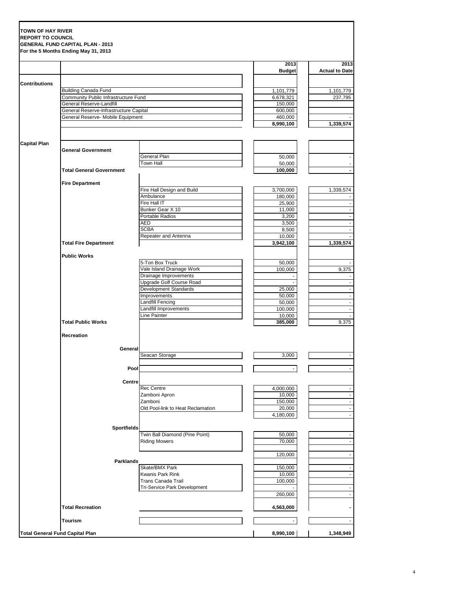|                      |                                                                            |                                                          | 2013                   | 2013                  |
|----------------------|----------------------------------------------------------------------------|----------------------------------------------------------|------------------------|-----------------------|
|                      |                                                                            |                                                          | <b>Budget</b>          | <b>Actual to Date</b> |
| <b>Contributions</b> |                                                                            |                                                          |                        |                       |
|                      | <b>Building Canada Fund</b><br><b>Community Public Infrastructure Fund</b> |                                                          | 1,101,779<br>6,678,321 | 1,101,779<br>237,795  |
|                      | <b>General Reserve-Landfill</b>                                            |                                                          | 150,000                |                       |
|                      | General Reserve-Infrastructure Capital                                     |                                                          | 600,000                |                       |
|                      | General Reserve- Mobile Equipment                                          |                                                          | 460,000<br>8,990,100   | 1,339,574             |
|                      |                                                                            |                                                          |                        |                       |
| <b>Capital Plan</b>  |                                                                            |                                                          |                        |                       |
|                      | <b>General Government</b>                                                  | <b>General Plan</b>                                      |                        |                       |
|                      |                                                                            | <b>Town Hall</b>                                         | 50,000<br>50,000       |                       |
|                      | <b>Total General Government</b>                                            |                                                          | $\overline{100,000}$   |                       |
|                      | <b>Fire Department</b>                                                     |                                                          |                        |                       |
|                      |                                                                            | Fire Hall Design and Build                               | 3,700,000              | 1,339,574             |
|                      |                                                                            | Ambulance                                                | 180,000                |                       |
|                      |                                                                            | Fire Hall IT<br>Bunker Gear X 10                         | 25,900                 | $\sim$                |
|                      |                                                                            | Portable Radios                                          | 11,000<br>3,200        | $\sim$                |
|                      |                                                                            | <b>AED</b>                                               | 3,500                  |                       |
|                      |                                                                            | <b>SCBA</b>                                              | 8,500                  |                       |
|                      |                                                                            | Repeater and Antenna                                     | 10,000                 |                       |
|                      | <b>Total Fire Department</b>                                               |                                                          | 3,942,100              | 1,339,574             |
|                      | <b>Public Works</b>                                                        |                                                          |                        |                       |
|                      |                                                                            | 5-Ton Box Truck                                          | 50,000                 |                       |
|                      |                                                                            | Vale Island Drainage Work                                | 100,000                | 9,375                 |
|                      |                                                                            | Drainage Improvements<br><b>Upgrade Golf Course Road</b> |                        |                       |
|                      |                                                                            | <b>Development Standards</b>                             | 25,000                 |                       |
|                      |                                                                            | Improvements                                             | 50,000                 |                       |
|                      |                                                                            | <b>Landfill Fencing</b>                                  | 50,000                 |                       |
|                      |                                                                            | Landfill Improvements                                    | 100,000                |                       |
|                      | <b>Total Public Works</b>                                                  | Line Painter                                             | 10,000<br>385,000      | 9,375                 |
|                      |                                                                            |                                                          |                        |                       |
|                      | <b>Recreation</b>                                                          |                                                          |                        |                       |
|                      |                                                                            | General<br>Seacan Storage                                | 3,000                  |                       |
|                      |                                                                            |                                                          |                        |                       |
|                      |                                                                            | Pool                                                     |                        |                       |
|                      |                                                                            | <b>Centre</b>                                            |                        |                       |
|                      |                                                                            | <b>Rec Centre</b>                                        | 4,000,000              |                       |
|                      |                                                                            | Zamboni Apron                                            | 10,000                 |                       |
|                      |                                                                            | Zamboni<br>Old Pool-link to Heat Reclamation             | 150,000<br>20,000      | $\sim$                |
|                      |                                                                            |                                                          | 4,180,000              | $\sim$                |
|                      |                                                                            |                                                          |                        |                       |
|                      | <b>Sportfields</b>                                                         | Twin Ball Diamond (Pine Point)                           | 50,000                 | $\sim$                |
|                      |                                                                            | <b>Riding Mowers</b>                                     | 70,000                 | $\sim$                |
|                      |                                                                            |                                                          |                        |                       |
|                      | <b>Parklands</b>                                                           |                                                          | 120,000                | $\blacksquare$        |
|                      |                                                                            | Skate/BMX Park                                           | 150,000                |                       |
|                      |                                                                            | <b>Kwanis Park Rink</b>                                  | 10,000                 |                       |
|                      |                                                                            | Trans Canada Trail                                       | 100,000                |                       |
|                      |                                                                            | Tri-Service Park Development                             | 260,000                |                       |
|                      |                                                                            |                                                          |                        |                       |
|                      | <b>Total Recreation</b>                                                    |                                                          | 4,563,000              |                       |
|                      | <b>Tourism</b>                                                             |                                                          | ۰.                     |                       |
|                      | <b>Total General Fund Capital Plan</b>                                     |                                                          | 8,990,100              | 1,348,949             |

4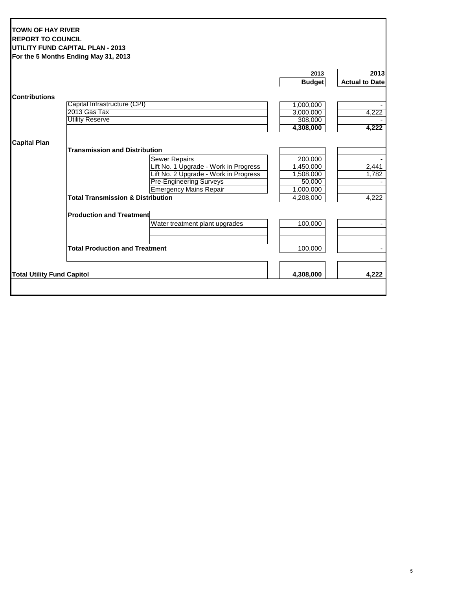### **TOWN OF HAY RIVER REPORT TO COUNCIL UTILITY FUND CAPITAL PLAN - 2013 For the 5 Months Ending May 31, 2013**

|                                   |                                              | 2013          | 2013                  |
|-----------------------------------|----------------------------------------------|---------------|-----------------------|
|                                   |                                              | <b>Budget</b> | <b>Actual to Date</b> |
| <b>Contributions</b>              |                                              |               |                       |
|                                   | Capital Infrastructure (CPI)                 | 1,000,000     |                       |
|                                   | 2013 Gas Tax                                 | 3,000,000     | 4,222                 |
|                                   | <b>Utility Reserve</b>                       | 308,000       |                       |
|                                   |                                              | 4,308,000     | 4,222                 |
| <b>Capital Plan</b>               |                                              |               |                       |
|                                   | <b>Transmission and Distribution</b>         |               |                       |
|                                   | <b>Sewer Repairs</b>                         | 200,000       |                       |
|                                   | Lift No. 1 Upgrade - Work in Progress        | 1,450,000     | 2,441                 |
|                                   | Lift No. 2 Upgrade - Work in Progress        | 1,508,000     | 1,782                 |
|                                   | <b>Pre-Engineering Surveys</b>               | 50,000        |                       |
|                                   | <b>Emergency Mains Repair</b>                | 1,000,000     |                       |
|                                   | <b>Total Transmission &amp; Distribution</b> | 4,208,000     | 4,222                 |
|                                   | <b>Production and Treatment</b>              |               |                       |
|                                   | Water treatment plant upgrades               | 100,000       |                       |
|                                   | <b>Total Production and Treatment</b>        | 100,000       |                       |
|                                   |                                              |               |                       |
| <b>Total Utility Fund Capitol</b> |                                              | 4,308,000     | 4,222                 |